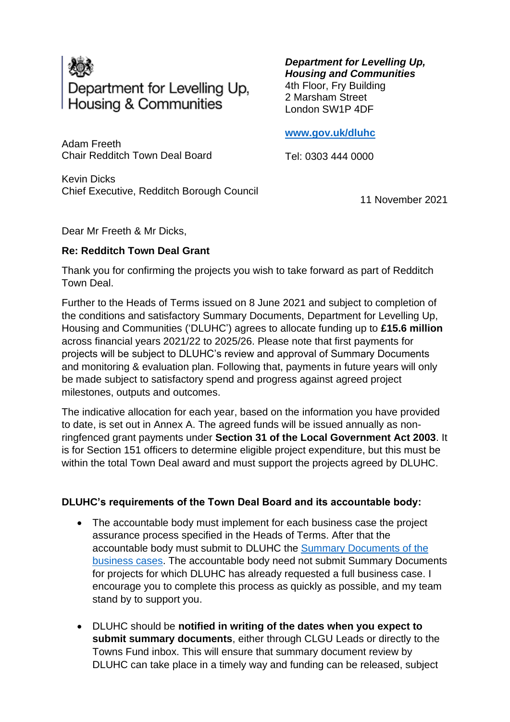

Adam Freeth Chair Redditch Town Deal Board

Kevin Dicks Chief Executive, Redditch Borough Council *Department for Levelling Up, Housing and Communities* 4th Floor, Fry Building 2 Marsham Street London SW1P 4DF

**[www.gov.uk/dluhc](http://www.gov.uk/dluhc)**

Tel: 0303 444 0000

11 November 2021

Dear Mr Freeth & Mr Dicks,

## **Re: Redditch Town Deal Grant**

Thank you for confirming the projects you wish to take forward as part of Redditch Town Deal.

Further to the Heads of Terms issued on 8 June 2021 and subject to completion of the conditions and satisfactory Summary Documents, Department for Levelling Up, Housing and Communities ('DLUHC') agrees to allocate funding up to **£15.6 million** across financial years 2021/22 to 2025/26. Please note that first payments for projects will be subject to DLUHC's review and approval of Summary Documents and monitoring & evaluation plan. Following that, payments in future years will only be made subject to satisfactory spend and progress against agreed project milestones, outputs and outcomes.

The indicative allocation for each year, based on the information you have provided to date, is set out in Annex A. The agreed funds will be issued annually as nonringfenced grant payments under **Section 31 of the Local Government Act 2003**. It is for Section 151 officers to determine eligible project expenditure, but this must be within the total Town Deal award and must support the projects agreed by DLUHC.

## **DLUHC's requirements of the Town Deal Board and its accountable body:**

- The accountable body must implement for each business case the project assurance process specified in the Heads of Terms. After that the accountable body must submit to DLUHC the [Summary Documents of the](https://townsfund.org.uk/resources-collection/mhclg-business-case-guidance)  [business cases.](https://townsfund.org.uk/resources-collection/mhclg-business-case-guidance) The accountable body need not submit Summary Documents for projects for which DLUHC has already requested a full business case. I encourage you to complete this process as quickly as possible, and my team stand by to support you.
- DLUHC should be **notified in writing of the dates when you expect to submit summary documents**, either through CLGU Leads or directly to the Towns Fund inbox. This will ensure that summary document review by DLUHC can take place in a timely way and funding can be released, subject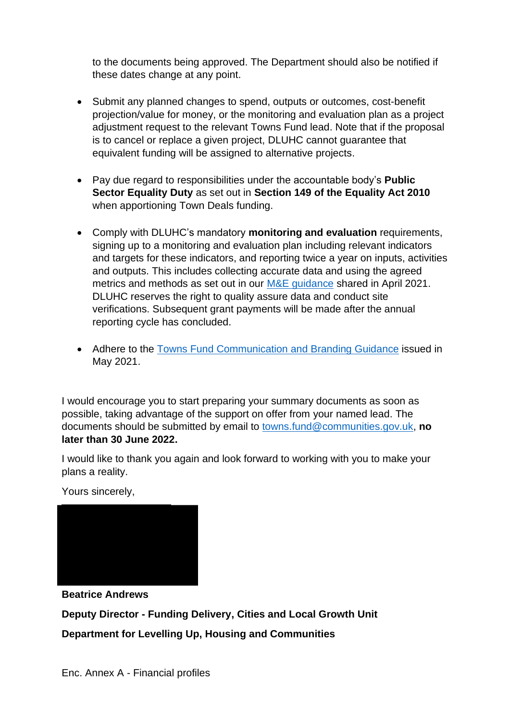to the documents being approved. The Department should also be notified if these dates change at any point.

- Submit any planned changes to spend, outputs or outcomes, cost-benefit projection/value for money, or the monitoring and evaluation plan as a project adjustment request to the relevant Towns Fund lead. Note that if the proposal is to cancel or replace a given project, DLUHC cannot guarantee that equivalent funding will be assigned to alternative projects.
- Pay due regard to responsibilities under the accountable body's **Public Sector Equality Duty** as set out in **Section 149 of the Equality Act 2010** when apportioning Town Deals funding.
- Comply with DLUHC's mandatory **monitoring and evaluation** requirements, signing up to a monitoring and evaluation plan including relevant indicators and targets for these indicators, and reporting twice a year on inputs, activities and outputs. This includes collecting accurate data and using the agreed metrics and methods as set out in our [M&E guidance](https://townsfund.org.uk/resources-collection/mhclg-monitoring-amp-evaluation-webinar?rq=monitoring) shared in April 2021. DLUHC reserves the right to quality assure data and conduct site verifications. Subsequent grant payments will be made after the annual reporting cycle has concluded.
- Adhere to the [Towns Fund Communication and Branding Guidance](https://townsfund.org.uk/s/Towns-Fund-Communications-and-Branding-Guidance-v01.pdf) issued in May 2021.

I would encourage you to start preparing your summary documents as soon as possible, taking advantage of the support on offer from your named lead. The documents should be submitted by email to [towns.fund@communities.gov.uk,](mailto:towns.fund@communities.gov.uk) **no later than 30 June 2022.**

I would like to thank you again and look forward to working with you to make your plans a reality.

Yours sincerely,

**Beatrice Andrews**

**Deputy Director - Funding Delivery, Cities and Local Growth Unit**

**Department for Levelling Up, Housing and Communities**